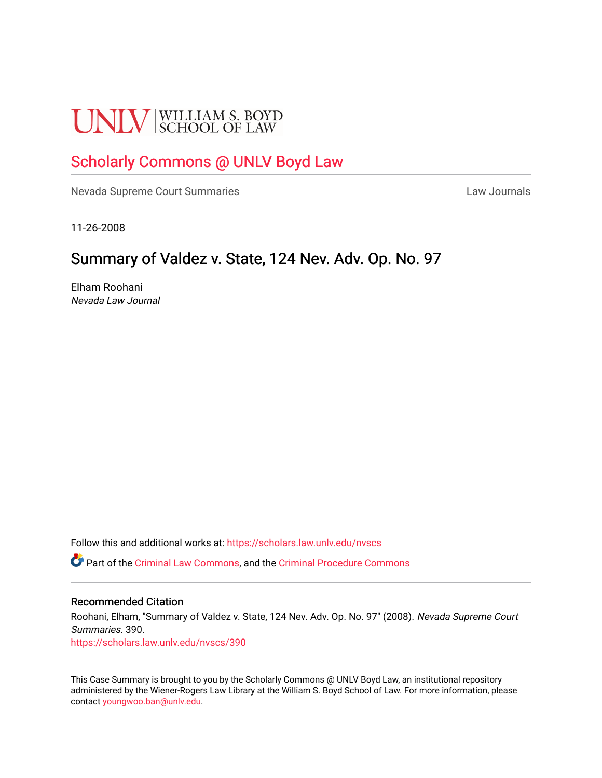# **UNLV** SCHOOL OF LAW

## [Scholarly Commons @ UNLV Boyd Law](https://scholars.law.unlv.edu/)

[Nevada Supreme Court Summaries](https://scholars.law.unlv.edu/nvscs) **Law Journals** Law Journals

11-26-2008

### Summary of Valdez v. State, 124 Nev. Adv. Op. No. 97

Elham Roohani Nevada Law Journal

Follow this and additional works at: [https://scholars.law.unlv.edu/nvscs](https://scholars.law.unlv.edu/nvscs?utm_source=scholars.law.unlv.edu%2Fnvscs%2F390&utm_medium=PDF&utm_campaign=PDFCoverPages)

Part of the [Criminal Law Commons,](http://network.bepress.com/hgg/discipline/912?utm_source=scholars.law.unlv.edu%2Fnvscs%2F390&utm_medium=PDF&utm_campaign=PDFCoverPages) and the [Criminal Procedure Commons](http://network.bepress.com/hgg/discipline/1073?utm_source=scholars.law.unlv.edu%2Fnvscs%2F390&utm_medium=PDF&utm_campaign=PDFCoverPages)

#### Recommended Citation

Roohani, Elham, "Summary of Valdez v. State, 124 Nev. Adv. Op. No. 97" (2008). Nevada Supreme Court Summaries. 390.

[https://scholars.law.unlv.edu/nvscs/390](https://scholars.law.unlv.edu/nvscs/390?utm_source=scholars.law.unlv.edu%2Fnvscs%2F390&utm_medium=PDF&utm_campaign=PDFCoverPages)

This Case Summary is brought to you by the Scholarly Commons @ UNLV Boyd Law, an institutional repository administered by the Wiener-Rogers Law Library at the William S. Boyd School of Law. For more information, please contact [youngwoo.ban@unlv.edu](mailto:youngwoo.ban@unlv.edu).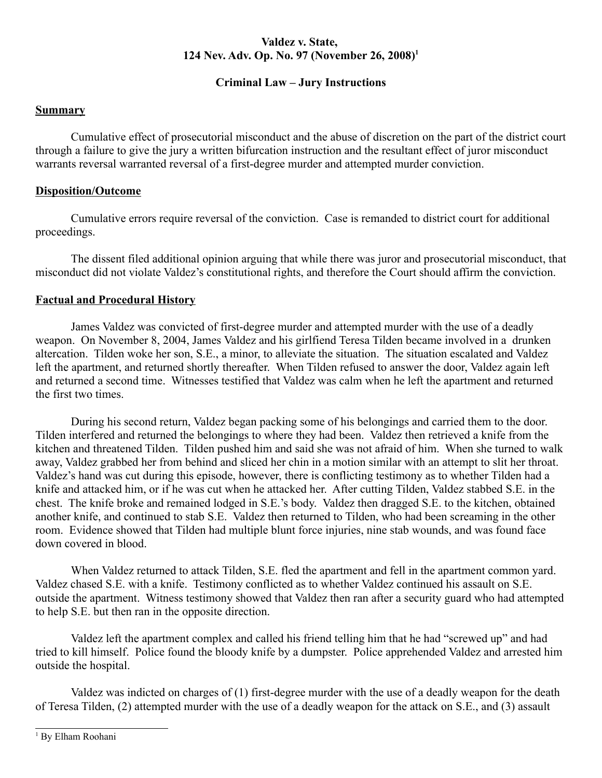#### **Valdez v. State, 124 Nev. Adv. Op. No. 97 (November 26, 2008)1**

#### **Criminal Law – Jury Instructions**

#### **Summary**

Cumulative effect of prosecutorial misconduct and the abuse of discretion on the part of the district court through a failure to give the jury a written bifurcation instruction and the resultant effect of juror misconduct warrants reversal warranted reversal of a first-degree murder and attempted murder conviction.

#### **Disposition/Outcome**

Cumulative errors require reversal of the conviction. Case is remanded to district court for additional proceedings.

The dissent filed additional opinion arguing that while there was juror and prosecutorial misconduct, that misconduct did not violate Valdez's constitutional rights, and therefore the Court should affirm the conviction.

#### **Factual and Procedural History**

James Valdez was convicted of first-degree murder and attempted murder with the use of a deadly weapon. On November 8, 2004, James Valdez and his girlfiend Teresa Tilden became involved in a drunken altercation. Tilden woke her son, S.E., a minor, to alleviate the situation. The situation escalated and Valdez left the apartment, and returned shortly thereafter. When Tilden refused to answer the door, Valdez again left and returned a second time. Witnesses testified that Valdez was calm when he left the apartment and returned the first two times.

During his second return, Valdez began packing some of his belongings and carried them to the door. Tilden interfered and returned the belongings to where they had been. Valdez then retrieved a knife from the kitchen and threatened Tilden. Tilden pushed him and said she was not afraid of him. When she turned to walk away, Valdez grabbed her from behind and sliced her chin in a motion similar with an attempt to slit her throat. Valdez's hand was cut during this episode, however, there is conflicting testimony as to whether Tilden had a knife and attacked him, or if he was cut when he attacked her. After cutting Tilden, Valdez stabbed S.E. in the chest. The knife broke and remained lodged in S.E.'s body. Valdez then dragged S.E. to the kitchen, obtained another knife, and continued to stab S.E. Valdez then returned to Tilden, who had been screaming in the other room. Evidence showed that Tilden had multiple blunt force injuries, nine stab wounds, and was found face down covered in blood.

When Valdez returned to attack Tilden, S.E. fled the apartment and fell in the apartment common yard. Valdez chased S.E. with a knife. Testimony conflicted as to whether Valdez continued his assault on S.E. outside the apartment. Witness testimony showed that Valdez then ran after a security guard who had attempted to help S.E. but then ran in the opposite direction.

Valdez left the apartment complex and called his friend telling him that he had "screwed up" and had tried to kill himself. Police found the bloody knife by a dumpster. Police apprehended Valdez and arrested him outside the hospital.

Valdez was indicted on charges of (1) first-degree murder with the use of a deadly weapon for the death of Teresa Tilden, (2) attempted murder with the use of a deadly weapon for the attack on S.E., and (3) assault

<sup>1</sup> By Elham Roohani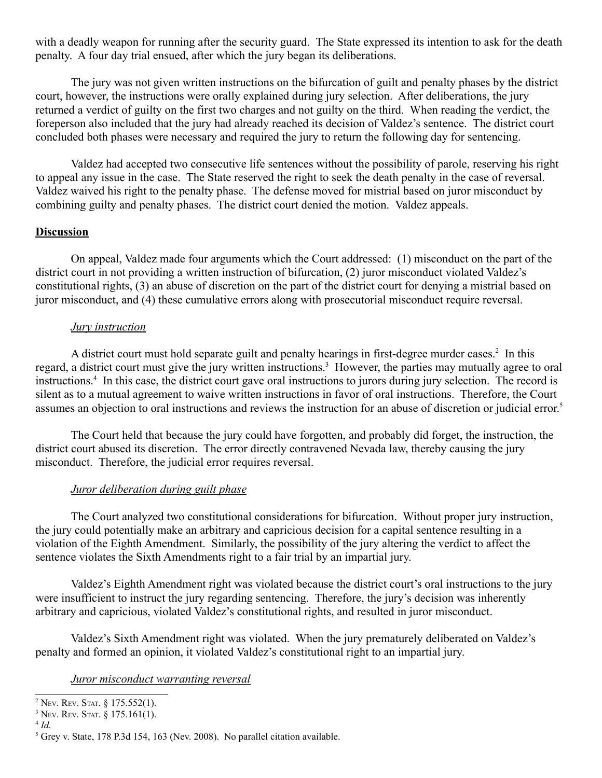with a deadly weapon for running after the security guard. The State expressed its intention to ask for the death penalty. A four day trial ensued, after which the jury began its deliberations.

The jury was not given written instructions on the bifurcation of guilt and penalty phases by the district court, however, the instructions were orally explained during jury selection. After deliberations, the jury returned a verdict of guilty on the first two charges and not guilty on the third. When reading the verdict, the foreperson also included that the jury had already reached its decision of Valdez's sentence. The district court concluded both phases were necessary and required the jury to return the following day for sentencing.

Valdez had accepted two consecutive life sentences without the possibility of parole, reserving his right to appeal any issue in the case. The State reserved the right to seek the death penalty in the case of reversal. Valdez waived his right to the penalty phase. The defense moved for mistrial based on juror misconduct by combining guilty and penalty phases. The district court denied the motion. Valdez appeals.

#### **Discussion**

On appeal, Valdez made four arguments which the Court addressed: (1) misconduct on the part of the district court in not providing a written instruction of bifurcation, (2) juror misconduct violated Valdez's constitutional rights, (3) an abuse of discretion on the part of the district court for denying a mistrial based on juror misconduct, and (4) these cumulative errors along with prosecutorial misconduct require reversal.

#### *Jury instruction*

A district court must hold separate guilt and penalty hearings in first-degree murder cases.<sup>2</sup> In this regard, a district court must give the jury written instructions.<sup>3</sup> However, the parties may mutually agree to oral instructions.4 In this case, the district court gave oral instructions to jurors during jury selection. The record is silent as to a mutual agreement to waive written instructions in favor of oral instructions. Therefore, the Court assumes an objection to oral instructions and reviews the instruction for an abuse of discretion or judicial error.5

The Court held that because the jury could have forgotten, and probably did forget, the instruction, the district court abused its discretion. The error directly contravened Nevada law, thereby causing the jury misconduct. Therefore, the judicial error requires reversal.

#### *Juror deliberation during guilt phase*

The Court analyzed two constitutional considerations for bifurcation. Without proper jury instruction, the jury could potentially make an arbitrary and capricious decision for a capital sentence resulting in a violation of the Eighth Amendment. Similarly, the possibility of the jury altering the verdict to affect the sentence violates the Sixth Amendments right to a fair trial by an impartial jury.

Valdez's Eighth Amendment right was violated because the district court's oral instructions to the jury were insufficient to instruct the jury regarding sentencing. Therefore, the jury's decision was inherently arbitrary and capricious, violated Valdez's constitutional rights, and resulted in juror misconduct.

Valdez's Sixth Amendment right was violated. When the jury prematurely deliberated on Valdez's penalty and formed an opinion, it violated Valdez's constitutional right to an impartial jury.

#### *Juror misconduct warranting reversal*

<sup>&</sup>lt;sup>2</sup> Nev. Rev. Stat.  $\S 175.552(1)$ .

<sup>3</sup> NEV. REV. STAT. § 175.161(1).

<sup>4</sup> *Id.* 

<sup>&</sup>lt;sup>5</sup> Grey v. State, 178 P.3d 154, 163 (Nev. 2008). No parallel citation available.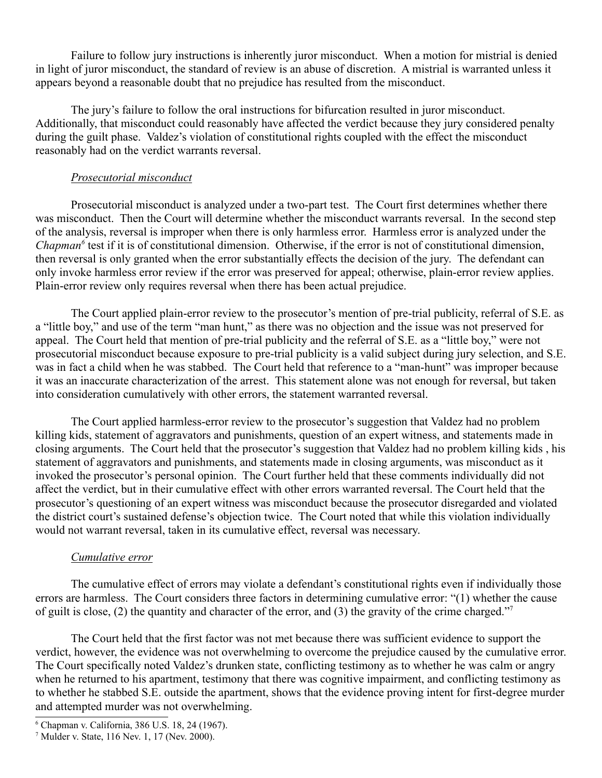Failure to follow jury instructions is inherently juror misconduct. When a motion for mistrial is denied in light of juror misconduct, the standard of review is an abuse of discretion. A mistrial is warranted unless it appears beyond a reasonable doubt that no prejudice has resulted from the misconduct.

The jury's failure to follow the oral instructions for bifurcation resulted in juror misconduct. Additionally, that misconduct could reasonably have affected the verdict because they jury considered penalty during the guilt phase. Valdez's violation of constitutional rights coupled with the effect the misconduct reasonably had on the verdict warrants reversal.

#### *Prosecutorial misconduct*

Prosecutorial misconduct is analyzed under a two-part test. The Court first determines whether there was misconduct. Then the Court will determine whether the misconduct warrants reversal. In the second step of the analysis, reversal is improper when there is only harmless error. Harmless error is analyzed under the *Chapman<sup>6</sup>* test if it is of constitutional dimension. Otherwise, if the error is not of constitutional dimension, then reversal is only granted when the error substantially effects the decision of the jury. The defendant can only invoke harmless error review if the error was preserved for appeal; otherwise, plain-error review applies. Plain-error review only requires reversal when there has been actual prejudice.

The Court applied plain-error review to the prosecutor's mention of pre-trial publicity, referral of S.E. as a "little boy," and use of the term "man hunt," as there was no objection and the issue was not preserved for appeal. The Court held that mention of pre-trial publicity and the referral of S.E. as a "little boy," were not prosecutorial misconduct because exposure to pre-trial publicity is a valid subject during jury selection, and S.E. was in fact a child when he was stabbed. The Court held that reference to a "man-hunt" was improper because it was an inaccurate characterization of the arrest. This statement alone was not enough for reversal, but taken into consideration cumulatively with other errors, the statement warranted reversal.

The Court applied harmless-error review to the prosecutor's suggestion that Valdez had no problem killing kids, statement of aggravators and punishments, question of an expert witness, and statements made in closing arguments. The Court held that the prosecutor's suggestion that Valdez had no problem killing kids , his statement of aggravators and punishments, and statements made in closing arguments, was misconduct as it invoked the prosecutor's personal opinion. The Court further held that these comments individually did not affect the verdict, but in their cumulative effect with other errors warranted reversal. The Court held that the prosecutor's questioning of an expert witness was misconduct because the prosecutor disregarded and violated the district court's sustained defense's objection twice. The Court noted that while this violation individually would not warrant reversal, taken in its cumulative effect, reversal was necessary.

#### *Cumulative error*

The cumulative effect of errors may violate a defendant's constitutional rights even if individually those errors are harmless. The Court considers three factors in determining cumulative error: "(1) whether the cause of guilt is close, (2) the quantity and character of the error, and (3) the gravity of the crime charged."<sup>7</sup>

The Court held that the first factor was not met because there was sufficient evidence to support the verdict, however, the evidence was not overwhelming to overcome the prejudice caused by the cumulative error. The Court specifically noted Valdez's drunken state, conflicting testimony as to whether he was calm or angry when he returned to his apartment, testimony that there was cognitive impairment, and conflicting testimony as to whether he stabbed S.E. outside the apartment, shows that the evidence proving intent for first-degree murder and attempted murder was not overwhelming.

<sup>6</sup> Chapman v. California, 386 U.S. 18, 24 (1967).

<sup>7</sup> Mulder v. State, 116 Nev. 1, 17 (Nev. 2000).